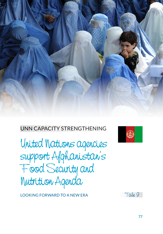

# UNN CAPACITY STRENGTHENING

United Nations agencies support Afghanistan's Food Security and Nutrition Agenda

LOOKING FORWARD TO A NEW ERA



Tale 9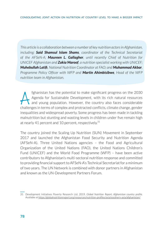*This article is a collaboration between a number of key nutrition actors in Afghanistan, including: Said Shamsul Islam Shams, coordinator of the Technical Secretariat of the AFSeN-A; Maureen L. Gallagher, until recently Chief of Nutrition for UNICEF Afghanistan and Zakia Maroof, a nutrition specialist working with UNICEF; Muhebullah Latifi, National Nutrition Coordinator at FAO; and Muhammad Akbar, Programme Policy Officer with WFP and Martin Ahimbisibwe, Head of the WFP nutrition team in Afghanistan.* 

fghanistan has the potential to make significant progress on the 2030<br>Agenda for Sustainable Development, with its rich natural resources<br>and young population. However, the country also faces considerable<br>challenges in ter Agenda for Sustainable Development, with its rich natural resources and young population. However, the country also faces considerable challenges in terms of complex and protracted conflicts, climate change, gender inequalities and widespread poverty. Some progress has been made in tackling malnutrition but stunting and wasting levels in children under five remain high at nearly 41 percent and 10 percent, respectively. $31$ 

The country joined the Scaling Up Nutrition (SUN) Movement in September 2017 and launched the Afghanistan Food Security and Nutrition Agenda (AFSeN-A). Three United Nations agencies – the Food and Agricultural Organization of the United Nations (FAO), the United Nations Children's Fund (UNICEF) and the World Food Programme (WFP) – have been active contributors to Afghanistan's multi-sectoral nutrition response and committed to providing financial support to AFSeN-A's Technical Secretariat for a minimum of two years. The UN Network is combined with donor partners in Afghanistan and known as the UN-Development Partners Forum.

<sup>31</sup> Development Initiatives Poverty Research Ltd. 2019. *Global Nutrition Report; Afghanistan country profile.*  Available at<https://globalnutritionreport.org/resources/nutrition-profiles/asia/southern-asia/afghanistan/>.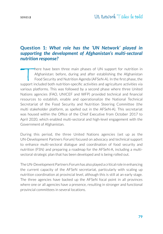# **Question 1:** *What role has the 'UN Network' played in supporting the development of Afghanistan's multi-sectoral nutrition response?*

There have been three main phases of UN support for nutrition in<br>Afghanistan: before, during and after establishing the Afghanistan<br>Food Security and Nutrition Agenda (AFSeN-A). In the first phase, the<br>support included bot Afghanistan: before, during and after establishing the Afghanistan Food Security and Nutrition Agenda (AFSeN-A). In the first phase, the support included both nutrition-specific activities and agriculture activities via various platforms. This was followed by a second phase where three United Nations agencies (FAO, UNICEF and WFP) provided technical and financial resources to establish, enable and operationalize the National Technical Secretariat of the Food Security and Nutrition Steering Committee (the multi stakeholder platform, as spelled out in the AFSeN-A). This secretariat was housed within the Office of the Chief Executive from October 2017 to April 2020, which enabled multi-sectoral and high-level engagement with the Government of Afghanistan.

During this period, the three United Nations agencies (set up as the UN-Development Partners Forum) focused on advocacy and technical support to enhance multi-sectoral dialogue and coordination of food security and nutrition (FSN) and preparing a roadmap for the AFSeN-A, including a multisectoral strategic plan that has been developed and is being rolled out.

The UN-Development Partners Forum has also played a critical role in enhancing the current capacity of the AFSeN secretariat, particularly with scaling up nutrition coordination at provincial level, although this is still at an early stage. The three agencies have backed up the AFSeN focal point in all provinces where one or all agencies have a presence, resulting in stronger and functional provincial committees in several locations.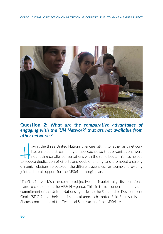

# **Question 2:** *What are the comparative advantages of engaging with the 'UN Network' that are not available from other networks?*

 $\frac{1}{\sqrt{1-\frac{1}{2}}}\int$ aving the three United Nations agencies sitting together as a network has enabled a streamlining of approaches so that organizations were not having parallel conversations with the same body. This has helped to reduce duplication of efforts and double funding, and promoted a strong dynamic relationship between the different agencies, for example, providing joint technical support for the AFSeN strategic plan.

"The 'UN Network' shares common objectives and is able to align its operational plans to complement the AFSeN Agenda. This, in turn, is underpinned by the commitment of the United Nations agencies to the Sustainable Development Goals (SDGs) and their multi-sectoral approach," noted Said Shamsul Islam Shams, coordinator of the Technical Secretariat of the AFSeN-A.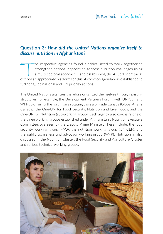# **Question 3:** *How did the United Nations organize itself to discuss nutrition in Afghanistan?*

The respective agencies found a critical need to work together to strengthen national capacity to address nutrition challenges using a multi-sectoral approach – and establishing the AFSeN secretariat offered an appropriate platform for this. A common agenda was established to further guide national and UN priority actions.

The United Nations agencies therefore organized themselves through existing structures, for example, the Development Partners Forum, with UNICEF and WFP co-chairing the forum on a rotating basis alongside Canada (Global Affairs Canada); the One-UN for Food Security, Nutrition and Livelihoods; and the One-UN for Nutrition (sub-working group). Each agency also co-chairs one of the three working groups established under Afghanistan's Nutrition Executive Committee, overseen by the Deputy Prime Minister. These include: the food security working group (FAO); the nutrition working group (UNICEF); and the public awareness and advocacy working group (WFP). Nutrition is also discussed in the Nutrition Cluster, the Food Security and Agriculture Cluster and various technical working groups.

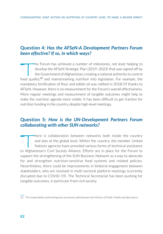### **Question 4:** *Has the AFSeN-A Development Partners Forum been effective? If so, in which ways?*

The Forum has achieved a number of milestones, not least helping to<br>develop the AFSeN Strategic Plan (2019–2023) that was signed off by<br>the Government of Afghanistan; creating a national authority to control<br>cood quality.<sup></sup> develop the AFSeN Strategic Plan (2019–2023) that was signed off by the Government of Afghanistan; creating a national authority to control food quality;<sup>32</sup> and mainstreaming nutrition into legislation. For example, the mandatory fortification of flour and edible oil was ratified in 2018/19 thanks to AFSeN. However, there is no measurement for the Forum's overall effectiveness. More regular meetings and measurement of tangible outcomes might help to make the nutrition agenda more visible. It has been difficult to get traction for nutrition funding in the country, despite high-level meetings.

### **Question 5:** *How is the UN-Development Partners Forum collaborating with other SUN networks?*

There is collaboration between networks both inside the country<br>and also at the global level. Within the country, the member United<br>Nations agencies have provided various forms of technical assistance<br>The Afghanistan's Civ and also at the global level. Within the country, the member United Nations agencies have provided various forms of technical assistance to Afghanistan's Civil Society Alliance. Efforts are in place for the Forum to support the strengthening of the SUN Business Network as a way to advocate for and strengthen nutrition-sensitive food systems and related policies. Nevertheless, there could be improvements in bilateral engagement between stakeholders, who are involved in multi-sectoral platform meetings (currently disrupted due to COVID-19). The Technical Secretariat has been pushing for tangible outcomes, in particular from civil society.

<sup>32</sup> The responsibility and funding were previously split between the Ministry of Public Health and Agriculture.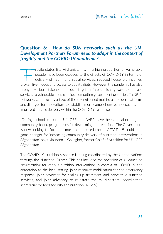# **Question 6:** *How do SUN networks such as the UN-Development Partners Forum need to adapt in the context of fragility and the COVID-19 pandemic?*

Fragile states like Afghanistan, with a high proportion of vulnerable<br>people, have been exposed to the effects of COVID-19 in terms of<br>delivery of health and social services, reduced household incomes,<br>proken livelihoods a people, have been exposed to the effects of COVID-19 in terms of delivery of health and social services, reduced household incomes, broken livelihoods and access to quality diets. However, the pandemic has also brought various stakeholders closer together in establishing ways to improve services to vulnerable people amidst competing government priorities. The SUN networks can take advantage of the strengthened multi-stakeholder platforms and dialogue for innovations to establish more comprehensive approaches and improved service delivery within the COVID-19 response.

"During school closures, UNICEF and WFP have been collaborating on community-based programmes for deworming interventions. The Government is now looking to focus on more home-based care – COVID-19 could be a game changer for increasing community delivery of nutrition interventions in Afghanistan," says Maureen L. Gallagher, former Chief of Nutrition for UNICEF Afghanistan.

The COVID-19 nutrition response is being coordinated by the United Nations through the Nutrition Cluster. This has included the provision of guidance on programming for various nutrition interventions in context of COVID-19 and adaptation to the local setting, joint resource mobilization for the emergency response, joint advocacy for scaling up treatment and preventive nutrition services, and joint advocacy to reinstate the multi-sectoral coordination secretariat for food security and nutrition (AFSeN).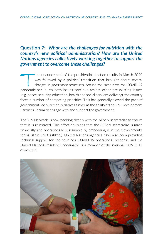## **Question 7:** *What are the challenges for nutrition with the country's new political administration? How are the United Nations agencies collectively working together to support the government to overcome these challenges?*

The announcement of the presidential election results in March 2020 was followed by a political transition that brought about several changes in governance structures. Around the same time, the COVID-19 pandemic set in. As both issues continue amidst other pre-existing issues (e.g. peace, security, education, health and social services delivery), the country faces a number of competing priorities. This has generally slowed the pace of government-led nutrition initiatives as well as the ability of the UN-Development Partners Forum to engage with and support the government.

The 'UN Network' is now working closely with the AFSeN secretariat to ensure that it is reinstated. This effort envisions that the AFSeN secretariat is made financially and operationally sustainable by embedding it in the Government's formal structure (Tashkeel). United Nations agencies have also been providing technical support for the country's COVID-19 operational response and the United Nations Resident Coordinator is a member of the national COVID-19 committee.

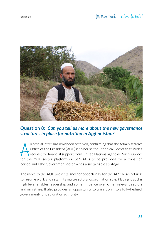

#### **Question 8:** *Can you tell us more about the new governance structures in place for nutrition in Afghanistan?*

In official letter has now been received, confirming that the Administrative<br>Office of the President (AOP) is to house the Technical Secretariat, with a<br>request for financial support from United Nations agencies. Such supp n official letter has now been received, confirming that the Administrative Office of the President (AOP) is to house the Technical Secretariat, with a request for financial support from United Nations agencies. Such support period, until the Government determines a sustainable strategy.

The move to the AOP presents another opportunity for the AFSeN secretariat to resume work and retain its multi-sectoral coordination role. Placing it at this high level enables leadership and some influence over other relevant sectors and ministries. It also provides an opportunity to transition into a fully-fledged, government-funded unit or authority.